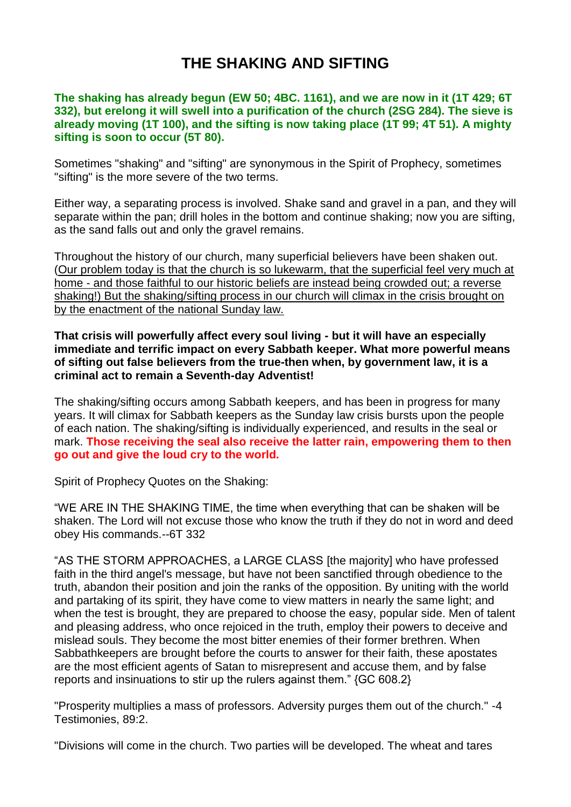## **THE SHAKING AND SIFTING**

## **The shaking has already begun (EW 50; 4BC. 1161), and we are now in it (1T 429; 6T 332), but erelong it will swell into a purification of the church (2SG 284). The sieve is already moving (1T 100), and the sifting is now taking place (1T 99; 4T 51). A mighty sifting is soon to occur (5T 80).**

Sometimes "shaking" and "sifting" are synonymous in the Spirit of Prophecy, sometimes "sifting" is the more severe of the two terms.

Either way, a separating process is involved. Shake sand and gravel in a pan, and they will separate within the pan; drill holes in the bottom and continue shaking; now you are sifting, as the sand falls out and only the gravel remains.

Throughout the history of our church, many superficial believers have been shaken out. (Our problem today is that the church is so lukewarm, that the superficial feel very much at home - and those faithful to our historic beliefs are instead being crowded out; a reverse shaking!) But the shaking/sifting process in our church will climax in the crisis brought on by the enactment of the national Sunday law.

## **That crisis will powerfully affect every soul living - but it will have an especially immediate and terrific impact on every Sabbath keeper. What more powerful means of sifting out false believers from the true-then when, by government law, it is a criminal act to remain a Seventh-day Adventist!**

The shaking/sifting occurs among Sabbath keepers, and has been in progress for many years. It will climax for Sabbath keepers as the Sunday law crisis bursts upon the people of each nation. The shaking/sifting is individually experienced, and results in the seal or mark. **Those receiving the seal also receive the latter rain, empowering them to then go out and give the loud cry to the world.**

Spirit of Prophecy Quotes on the Shaking:

"WE ARE IN THE SHAKING TIME, the time when everything that can be shaken will be shaken. The Lord will not excuse those who know the truth if they do not in word and deed obey His commands.--6T 332

"AS THE STORM APPROACHES, a LARGE CLASS [the majority] who have professed faith in the third angel's message, but have not been sanctified through obedience to the truth, abandon their position and join the ranks of the opposition. By uniting with the world and partaking of its spirit, they have come to view matters in nearly the same light; and when the test is brought, they are prepared to choose the easy, popular side. Men of talent and pleasing address, who once rejoiced in the truth, employ their powers to deceive and mislead souls. They become the most bitter enemies of their former brethren. When Sabbathkeepers are brought before the courts to answer for their faith, these apostates are the most efficient agents of Satan to misrepresent and accuse them, and by false reports and insinuations to stir up the rulers against them." {GC 608.2}

"Prosperity multiplies a mass of professors. Adversity purges them out of the church." -4 Testimonies, 89:2.

"Divisions will come in the church. Two parties will be developed. The wheat and tares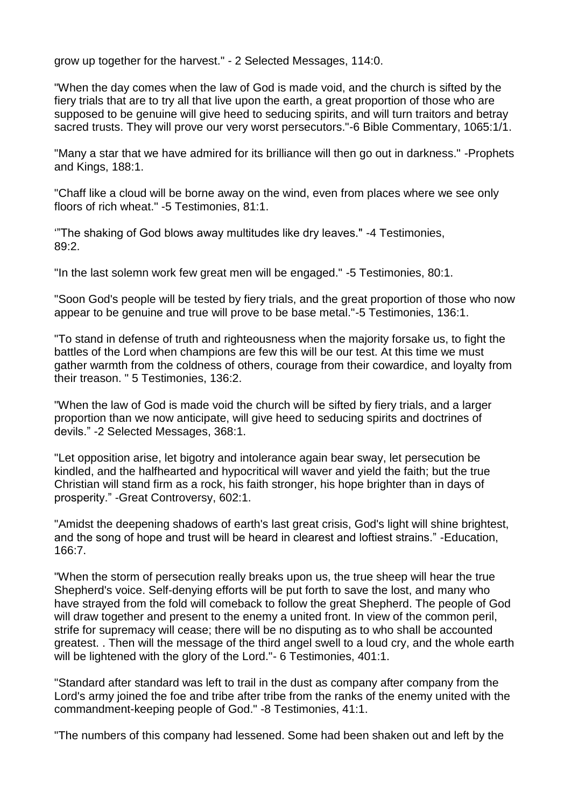grow up together for the harvest." - 2 Selected Messages, 114:0.

"When the day comes when the law of God is made void, and the church is sifted by the fiery trials that are to try all that live upon the earth, a great proportion of those who are supposed to be genuine will give heed to seducing spirits, and will turn traitors and betray sacred trusts. They will prove our very worst persecutors."-6 Bible Commentary, 1065:1/1.

"Many a star that we have admired for its brilliance will then go out in darkness." -Prophets and Kings, 188:1.

"Chaff like a cloud will be borne away on the wind, even from places where we see only floors of rich wheat." -5 Testimonies, 81:1.

'"The shaking of God blows away multitudes like dry leaves." -4 Testimonies, 89:2.

"In the last solemn work few great men will be engaged." -5 Testimonies, 80:1.

"Soon God's people will be tested by fiery trials, and the great proportion of those who now appear to be genuine and true will prove to be base metal."-5 Testimonies, 136:1.

"To stand in defense of truth and righteousness when the majority forsake us, to fight the battles of the Lord when champions are few this will be our test. At this time we must gather warmth from the coldness of others, courage from their cowardice, and loyalty from their treason. " 5 Testimonies, 136:2.

"When the law of God is made void the church will be sifted by fiery trials, and a larger proportion than we now anticipate, will give heed to seducing spirits and doctrines of devils." -2 Selected Messages, 368:1.

"Let opposition arise, let bigotry and intolerance again bear sway, let persecution be kindled, and the halfhearted and hypocritical will waver and yield the faith; but the true Christian will stand firm as a rock, his faith stronger, his hope brighter than in days of prosperity." -Great Controversy, 602:1.

"Amidst the deepening shadows of earth's last great crisis, God's light will shine brightest, and the song of hope and trust will be heard in clearest and loftiest strains." -Education, 166:7.

"When the storm of persecution really breaks upon us, the true sheep will hear the true Shepherd's voice. Self-denying efforts will be put forth to save the lost, and many who have strayed from the fold will comeback to follow the great Shepherd. The people of God will draw together and present to the enemy a united front. In view of the common peril, strife for supremacy will cease; there will be no disputing as to who shall be accounted greatest. . Then will the message of the third angel swell to a loud cry, and the whole earth will be lightened with the glory of the Lord." - 6 Testimonies, 401:1.

"Standard after standard was left to trail in the dust as company after company from the Lord's army joined the foe and tribe after tribe from the ranks of the enemy united with the commandment-keeping people of God." -8 Testimonies, 41:1.

"The numbers of this company had lessened. Some had been shaken out and left by the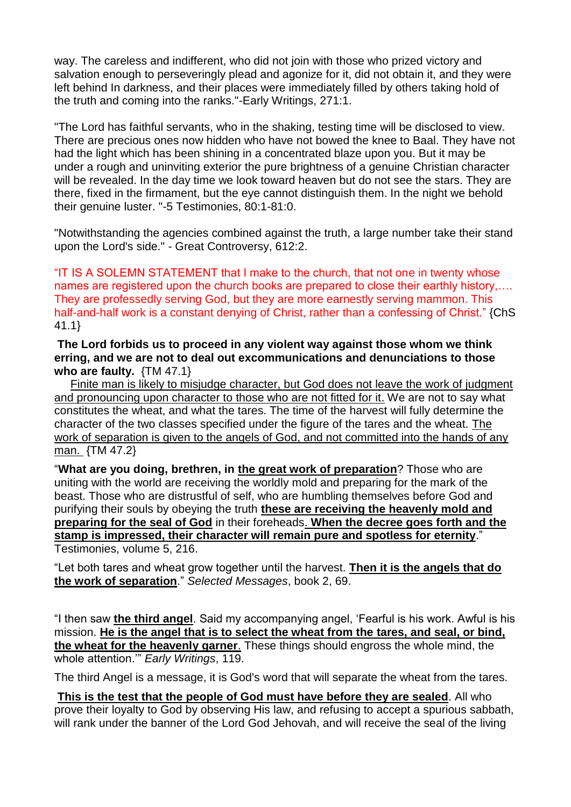way. The careless and indifferent, who did not join with those who prized victory and salvation enough to perseveringly plead and agonize for it, did not obtain it, and they were left behind In darkness, and their places were immediately filled by others taking hold of the truth and coming into the ranks."-Early Writings, 271:1.

"The Lord has faithful servants, who in the shaking, testing time will be disclosed to view. There are precious ones now hidden who have not bowed the knee to Baal. They have not had the light which has been shining in a concentrated blaze upon you. But it may be under a rough and uninviting exterior the pure brightness of a genuine Christian character will be revealed. In the day time we look toward heaven but do not see the stars. They are there, fixed in the firmament, but the eye cannot distinguish them. In the night we behold their genuine luster. "-5 Testimonies, 80:1-81:0.

"Notwithstanding the agencies combined against the truth, a large number take their stand upon the Lord's side." - Great Controversy, 612:2.

"IT IS A SOLEMN STATEMENT that I make to the church, that not one in twenty whose names are registered upon the church books are prepared to close their earthly history,…. They are professedly serving God, but they are more earnestly serving mammon. This half-and-half work is a constant denying of Christ, rather than a confessing of Christ." {ChS 41.1}

**The Lord forbids us to proceed in any violent way against those whom we think erring, and we are not to deal out excommunications and denunciations to those who are faulty.** {TM 47.1}

 Finite man is likely to misjudge character, but God does not leave the work of judgment and pronouncing upon character to those who are not fitted for it. We are not to say what constitutes the wheat, and what the tares. The time of the harvest will fully determine the character of the two classes specified under the figure of the tares and the wheat. The work of separation is given to the angels of God, and not committed into the hands of any man. {TM 47.2}

"**What are you doing, brethren, in the great work of preparation**? Those who are uniting with the world are receiving the worldly mold and preparing for the mark of the beast. Those who are distrustful of self, who are humbling themselves before God and purifying their souls by obeying the truth **these are receiving the heavenly mold and preparing for the seal of God** in their foreheads. **When the decree goes forth and the stamp is impressed, their character will remain pure and spotless for eternity**." Testimonies, volume 5, 216.

"Let both tares and wheat grow together until the harvest. **Then it is the angels that do the work of separation**." *Selected Messages*, book 2, 69.

"I then saw **the third angel**. Said my accompanying angel, 'Fearful is his work. Awful is his mission. **He is the angel that is to select the wheat from the tares, and seal, or bind, the wheat for the heavenly garner**. These things should engross the whole mind, the whole attention.'" *Early Writings*, 119.

The third Angel is a message, it is God's word that will separate the wheat from the tares.

**This is the test that the people of God must have before they are sealed**. All who prove their loyalty to God by observing His law, and refusing to accept a spurious sabbath, will rank under the banner of the Lord God Jehovah, and will receive the seal of the living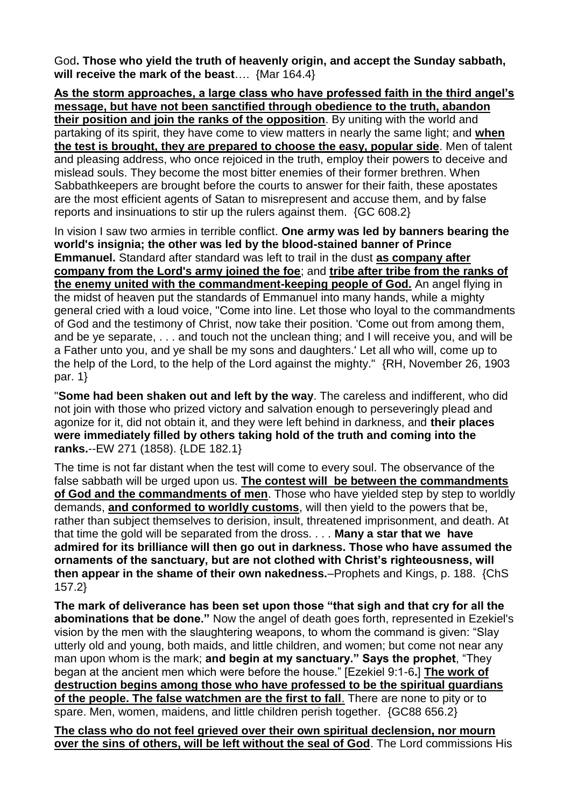God**. Those who yield the truth of heavenly origin, and accept the Sunday sabbath, will receive the mark of the beast**…. {Mar 164.4}

**As the storm approaches, a large class who have professed faith in the third angel's message, but have not been sanctified through obedience to the truth, abandon their position and join the ranks of the opposition**. By uniting with the world and partaking of its spirit, they have come to view matters in nearly the same light; and **when the test is brought, they are prepared to choose the easy, popular side**. Men of talent and pleasing address, who once rejoiced in the truth, employ their powers to deceive and mislead souls. They become the most bitter enemies of their former brethren. When Sabbathkeepers are brought before the courts to answer for their faith, these apostates are the most efficient agents of Satan to misrepresent and accuse them, and by false reports and insinuations to stir up the rulers against them. {GC 608.2}

In vision I saw two armies in terrible conflict. **One army was led by banners bearing the world's insignia; the other was led by the blood-stained banner of Prince Emmanuel.** Standard after standard was left to trail in the dust **as company after company from the Lord's army joined the foe**; and **tribe after tribe from the ranks of the enemy united with the commandment-keeping people of God.** An angel flying in the midst of heaven put the standards of Emmanuel into many hands, while a mighty general cried with a loud voice, "Come into line. Let those who loyal to the commandments of God and the testimony of Christ, now take their position. 'Come out from among them, and be ye separate, . . . and touch not the unclean thing; and I will receive you, and will be a Father unto you, and ye shall be my sons and daughters.' Let all who will, come up to the help of the Lord, to the help of the Lord against the mighty." {RH, November 26, 1903 par. 1}

"**Some had been shaken out and left by the way**. The careless and indifferent, who did not join with those who prized victory and salvation enough to perseveringly plead and agonize for it, did not obtain it, and they were left behind in darkness, and **their places were immediately filled by others taking hold of the truth and coming into the ranks.**--EW 271 (1858). {LDE 182.1}

The time is not far distant when the test will come to every soul. The observance of the false sabbath will be urged upon us. **The contest will be between the commandments of God and the commandments of men**. Those who have yielded step by step to worldly demands, **and conformed to worldly customs**, will then yield to the powers that be, rather than subject themselves to derision, insult, threatened imprisonment, and death. At that time the gold will be separated from the dross. . . . **Many a star that we have admired for its brilliance will then go out in darkness. Those who have assumed the ornaments of the sanctuary, but are not clothed with Christ's righteousness, will then appear in the shame of their own nakedness.**–Prophets and Kings, p. 188. {ChS 157.2}

**The mark of deliverance has been set upon those "that sigh and that cry for all the abominations that be done."** Now the angel of death goes forth, represented in Ezekiel's vision by the men with the slaughtering weapons, to whom the command is given: "Slay utterly old and young, both maids, and little children, and women; but come not near any man upon whom is the mark; **and begin at my sanctuary." Says the prophet**, "They began at the ancient men which were before the house." [Ezekiel 9:1-6**.**] **The work of destruction begins among those who have professed to be the spiritual guardians of the people. The false watchmen are the first to fall**. There are none to pity or to spare. Men, women, maidens, and little children perish together. {GC88 656.2}

**The class who do not feel grieved over their own spiritual declension, nor mourn over the sins of others, will be left without the seal of God**. The Lord commissions His